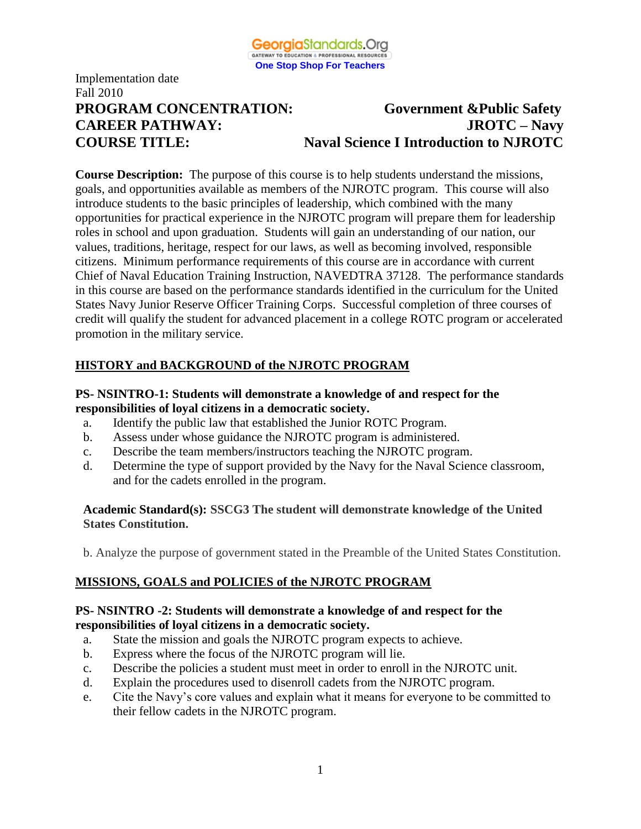

# **PROGRAM CONCENTRATION: Government &Public Safety CAREER PATHWAY: JROTC – Navy COURSE TITLE: Naval Science I Introduction to NJROTC**

**Course Description:** The purpose of this course is to help students understand the missions, goals, and opportunities available as members of the NJROTC program. This course will also introduce students to the basic principles of leadership, which combined with the many opportunities for practical experience in the NJROTC program will prepare them for leadership roles in school and upon graduation. Students will gain an understanding of our nation, our values, traditions, heritage, respect for our laws, as well as becoming involved, responsible citizens. Minimum performance requirements of this course are in accordance with current Chief of Naval Education Training Instruction, NAVEDTRA 37128. The performance standards in this course are based on the performance standards identified in the curriculum for the United States Navy Junior Reserve Officer Training Corps. Successful completion of three courses of credit will qualify the student for advanced placement in a college ROTC program or accelerated promotion in the military service.

# **HISTORY and BACKGROUND of the NJROTC PROGRAM**

#### **PS- NSINTRO-1: Students will demonstrate a knowledge of and respect for the responsibilities of loyal citizens in a democratic society.**

- a. Identify the public law that established the Junior ROTC Program.
- b. Assess under whose guidance the NJROTC program is administered.
- c. Describe the team members/instructors teaching the NJROTC program.
- d. Determine the type of support provided by the Navy for the Naval Science classroom, and for the cadets enrolled in the program.

#### **Academic Standard(s): SSCG3 The student will demonstrate knowledge of the United States Constitution.**

b. Analyze the purpose of government stated in the Preamble of the United States Constitution.

# **MISSIONS, GOALS and POLICIES of the NJROTC PROGRAM**

#### **PS- NSINTRO -2: Students will demonstrate a knowledge of and respect for the responsibilities of loyal citizens in a democratic society.**

- a. State the mission and goals the NJROTC program expects to achieve.
- b. Express where the focus of the NJROTC program will lie.
- c. Describe the policies a student must meet in order to enroll in the NJROTC unit.
- d. Explain the procedures used to disenroll cadets from the NJROTC program.
- e. Cite the Navy's core values and explain what it means for everyone to be committed to their fellow cadets in the NJROTC program.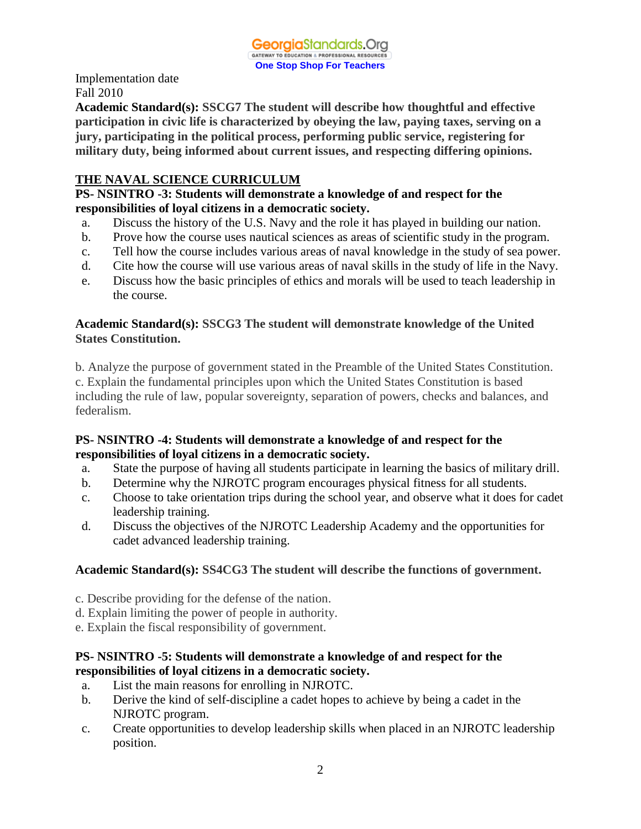**Academic Standard(s): SSCG7 The student will describe how thoughtful and effective participation in civic life is characterized by obeying the law, paying taxes, serving on a jury, participating in the political process, performing public service, registering for military duty, being informed about current issues, and respecting differing opinions.**

#### **THE NAVAL SCIENCE CURRICULUM**

#### **PS- NSINTRO -3: Students will demonstrate a knowledge of and respect for the responsibilities of loyal citizens in a democratic society.**

- a. Discuss the history of the U.S. Navy and the role it has played in building our nation.
- b. Prove how the course uses nautical sciences as areas of scientific study in the program.
- c. Tell how the course includes various areas of naval knowledge in the study of sea power.
- d. Cite how the course will use various areas of naval skills in the study of life in the Navy.
- e. Discuss how the basic principles of ethics and morals will be used to teach leadership in the course.

## **Academic Standard(s): SSCG3 The student will demonstrate knowledge of the United States Constitution.**

b. Analyze the purpose of government stated in the Preamble of the United States Constitution. c. Explain the fundamental principles upon which the United States Constitution is based including the rule of law, popular sovereignty, separation of powers, checks and balances, and federalism.

## **PS- NSINTRO -4: Students will demonstrate a knowledge of and respect for the responsibilities of loyal citizens in a democratic society.**

- a. State the purpose of having all students participate in learning the basics of military drill.
- b. Determine why the NJROTC program encourages physical fitness for all students.
- c. Choose to take orientation trips during the school year, and observe what it does for cadet leadership training.
- d. Discuss the objectives of the NJROTC Leadership Academy and the opportunities for cadet advanced leadership training.

# **Academic Standard(s): SS4CG3 The student will describe the functions of government.**

- c. Describe providing for the defense of the nation.
- d. Explain limiting the power of people in authority.
- e. Explain the fiscal responsibility of government.

# **PS- NSINTRO -5: Students will demonstrate a knowledge of and respect for the responsibilities of loyal citizens in a democratic society.**

- a. List the main reasons for enrolling in NJROTC.
- b. Derive the kind of self-discipline a cadet hopes to achieve by being a cadet in the NJROTC program.
- c. Create opportunities to develop leadership skills when placed in an NJROTC leadership position.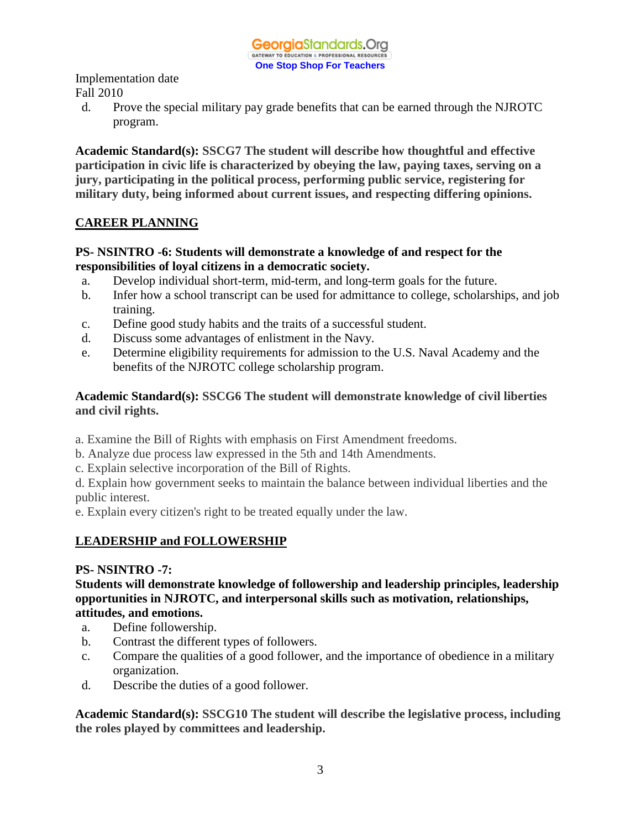d. Prove the special military pay grade benefits that can be earned through the NJROTC program.

**Academic Standard(s): SSCG7 The student will describe how thoughtful and effective participation in civic life is characterized by obeying the law, paying taxes, serving on a jury, participating in the political process, performing public service, registering for military duty, being informed about current issues, and respecting differing opinions.**

# **CAREER PLANNING**

# **PS- NSINTRO -6: Students will demonstrate a knowledge of and respect for the responsibilities of loyal citizens in a democratic society.**

- a. Develop individual short-term, mid-term, and long-term goals for the future.
- b. Infer how a school transcript can be used for admittance to college, scholarships, and job training.
- c. Define good study habits and the traits of a successful student.
- d. Discuss some advantages of enlistment in the Navy.
- e. Determine eligibility requirements for admission to the U.S. Naval Academy and the benefits of the NJROTC college scholarship program.

# **Academic Standard(s): SSCG6 The student will demonstrate knowledge of civil liberties and civil rights.**

- a. Examine the Bill of Rights with emphasis on First Amendment freedoms.
- b. Analyze due process law expressed in the 5th and 14th Amendments.
- c. Explain selective incorporation of the Bill of Rights.

d. Explain how government seeks to maintain the balance between individual liberties and the public interest.

e. Explain every citizen's right to be treated equally under the law.

# **LEADERSHIP and FOLLOWERSHIP**

#### **PS- NSINTRO -7:**

**Students will demonstrate knowledge of followership and leadership principles, leadership opportunities in NJROTC, and interpersonal skills such as motivation, relationships, attitudes, and emotions.**

- a. Define followership.
- b. Contrast the different types of followers.
- c. Compare the qualities of a good follower, and the importance of obedience in a military organization.
- d. Describe the duties of a good follower.

**Academic Standard(s): SSCG10 The student will describe the legislative process, including the roles played by committees and leadership.**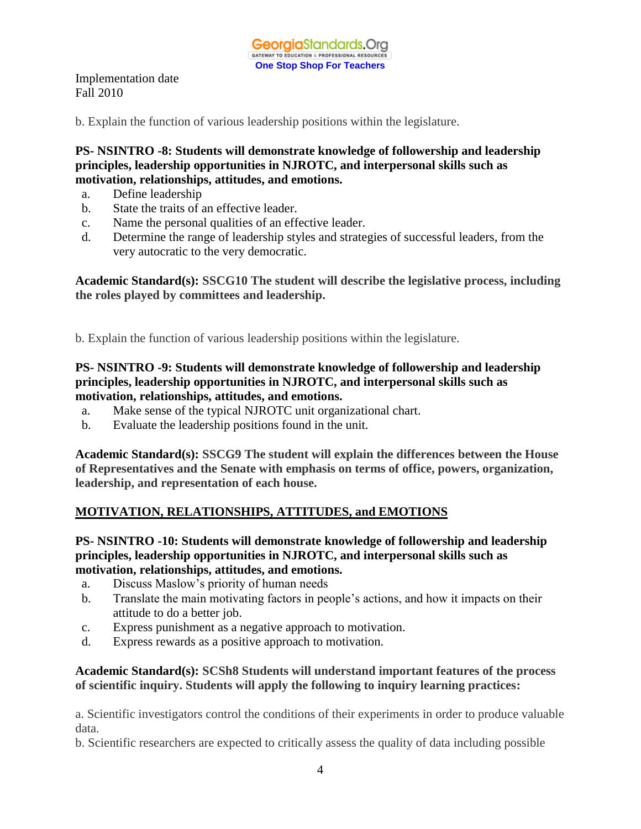b. Explain the function of various leadership positions within the legislature.

**PS- NSINTRO -8: Students will demonstrate knowledge of followership and leadership principles, leadership opportunities in NJROTC, and interpersonal skills such as motivation, relationships, attitudes, and emotions.**

- a. Define leadership
- b. State the traits of an effective leader.
- c. Name the personal qualities of an effective leader.
- d. Determine the range of leadership styles and strategies of successful leaders, from the very autocratic to the very democratic.

**Academic Standard(s): SSCG10 The student will describe the legislative process, including the roles played by committees and leadership.**

b. Explain the function of various leadership positions within the legislature.

#### **PS- NSINTRO -9: Students will demonstrate knowledge of followership and leadership principles, leadership opportunities in NJROTC, and interpersonal skills such as motivation, relationships, attitudes, and emotions.**

- a. Make sense of the typical NJROTC unit organizational chart.
- b. Evaluate the leadership positions found in the unit.

**Academic Standard(s): SSCG9 The student will explain the differences between the House of Representatives and the Senate with emphasis on terms of office, powers, organization, leadership, and representation of each house.**

# **MOTIVATION, RELATIONSHIPS, ATTITUDES, and EMOTIONS**

#### **PS- NSINTRO -10: Students will demonstrate knowledge of followership and leadership principles, leadership opportunities in NJROTC, and interpersonal skills such as motivation, relationships, attitudes, and emotions.**

- a. Discuss Maslow's priority of human needs
- b. Translate the main motivating factors in people's actions, and how it impacts on their attitude to do a better job.
- c. Express punishment as a negative approach to motivation.
- d. Express rewards as a positive approach to motivation.

#### **Academic Standard(s): SCSh8 Students will understand important features of the process of scientific inquiry. Students will apply the following to inquiry learning practices:**

a. Scientific investigators control the conditions of their experiments in order to produce valuable data.

b. Scientific researchers are expected to critically assess the quality of data including possible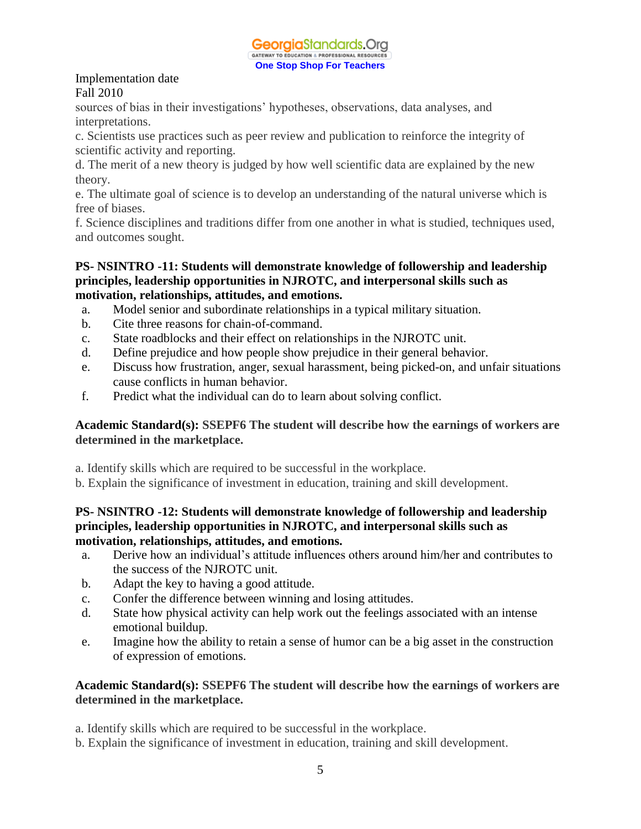

sources of bias in their investigations' hypotheses, observations, data analyses, and interpretations.

c. Scientists use practices such as peer review and publication to reinforce the integrity of scientific activity and reporting.

d. The merit of a new theory is judged by how well scientific data are explained by the new theory.

e. The ultimate goal of science is to develop an understanding of the natural universe which is free of biases.

f. Science disciplines and traditions differ from one another in what is studied, techniques used, and outcomes sought.

#### **PS- NSINTRO -11: Students will demonstrate knowledge of followership and leadership principles, leadership opportunities in NJROTC, and interpersonal skills such as motivation, relationships, attitudes, and emotions.**

- a. Model senior and subordinate relationships in a typical military situation.
- b. Cite three reasons for chain-of-command.
- c. State roadblocks and their effect on relationships in the NJROTC unit.
- d. Define prejudice and how people show prejudice in their general behavior.
- e. Discuss how frustration, anger, sexual harassment, being picked-on, and unfair situations cause conflicts in human behavior.
- f. Predict what the individual can do to learn about solving conflict.

#### **Academic Standard(s): SSEPF6 The student will describe how the earnings of workers are determined in the marketplace.**

- a. Identify skills which are required to be successful in the workplace.
- b. Explain the significance of investment in education, training and skill development.

#### **PS- NSINTRO -12: Students will demonstrate knowledge of followership and leadership principles, leadership opportunities in NJROTC, and interpersonal skills such as motivation, relationships, attitudes, and emotions.**

- a. Derive how an individual's attitude influences others around him/her and contributes to the success of the NJROTC unit.
- b. Adapt the key to having a good attitude.
- c. Confer the difference between winning and losing attitudes.
- d. State how physical activity can help work out the feelings associated with an intense emotional buildup.
- e. Imagine how the ability to retain a sense of humor can be a big asset in the construction of expression of emotions.

## **Academic Standard(s): SSEPF6 The student will describe how the earnings of workers are determined in the marketplace.**

- a. Identify skills which are required to be successful in the workplace.
- b. Explain the significance of investment in education, training and skill development.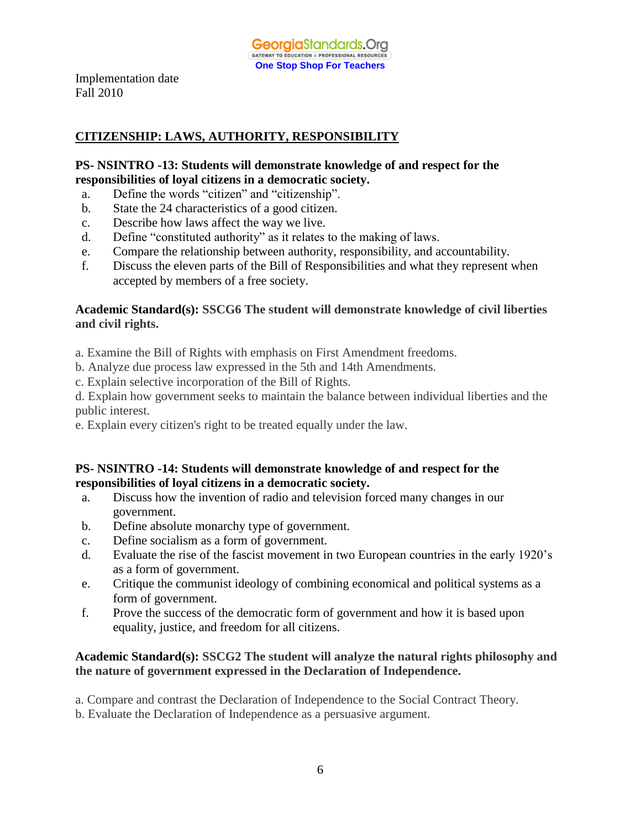# **CITIZENSHIP: LAWS, AUTHORITY, RESPONSIBILITY**

#### **PS- NSINTRO -13: Students will demonstrate knowledge of and respect for the responsibilities of loyal citizens in a democratic society.**

- a. Define the words "citizen" and "citizenship".
- b. State the 24 characteristics of a good citizen.
- c. Describe how laws affect the way we live.
- d. Define "constituted authority" as it relates to the making of laws.
- e. Compare the relationship between authority, responsibility, and accountability.
- f. Discuss the eleven parts of the Bill of Responsibilities and what they represent when accepted by members of a free society.

#### **Academic Standard(s): SSCG6 The student will demonstrate knowledge of civil liberties and civil rights.**

a. Examine the Bill of Rights with emphasis on First Amendment freedoms.

- b. Analyze due process law expressed in the 5th and 14th Amendments.
- c. Explain selective incorporation of the Bill of Rights.
- d. Explain how government seeks to maintain the balance between individual liberties and the public interest.
- e. Explain every citizen's right to be treated equally under the law.

#### **PS- NSINTRO -14: Students will demonstrate knowledge of and respect for the responsibilities of loyal citizens in a democratic society.**

- a. Discuss how the invention of radio and television forced many changes in our government.
- b. Define absolute monarchy type of government.
- c. Define socialism as a form of government.
- d. Evaluate the rise of the fascist movement in two European countries in the early 1920's as a form of government.
- e. Critique the communist ideology of combining economical and political systems as a form of government.
- f. Prove the success of the democratic form of government and how it is based upon equality, justice, and freedom for all citizens.

#### **Academic Standard(s): SSCG2 The student will analyze the natural rights philosophy and the nature of government expressed in the Declaration of Independence.**

a. Compare and contrast the Declaration of Independence to the Social Contract Theory.

b. Evaluate the Declaration of Independence as a persuasive argument.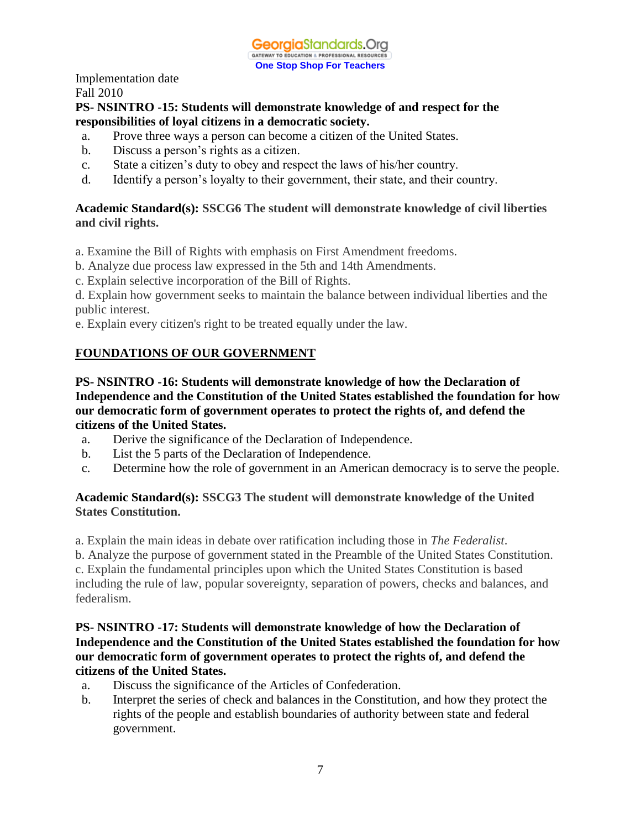#### **PS- NSINTRO -15: Students will demonstrate knowledge of and respect for the responsibilities of loyal citizens in a democratic society.**

- a. Prove three ways a person can become a citizen of the United States.
- b. Discuss a person's rights as a citizen.
- c. State a citizen's duty to obey and respect the laws of his/her country.
- d. Identify a person's loyalty to their government, their state, and their country.

#### **Academic Standard(s): SSCG6 The student will demonstrate knowledge of civil liberties and civil rights.**

a. Examine the Bill of Rights with emphasis on First Amendment freedoms.

- b. Analyze due process law expressed in the 5th and 14th Amendments.
- c. Explain selective incorporation of the Bill of Rights.

d. Explain how government seeks to maintain the balance between individual liberties and the public interest.

e. Explain every citizen's right to be treated equally under the law.

# **FOUNDATIONS OF OUR GOVERNMENT**

**PS- NSINTRO -16: Students will demonstrate knowledge of how the Declaration of Independence and the Constitution of the United States established the foundation for how our democratic form of government operates to protect the rights of, and defend the citizens of the United States.**

- a. Derive the significance of the Declaration of Independence.
- b. List the 5 parts of the Declaration of Independence.
- c. Determine how the role of government in an American democracy is to serve the people.

## **Academic Standard(s): SSCG3 The student will demonstrate knowledge of the United States Constitution.**

a. Explain the main ideas in debate over ratification including those in *The Federalist*.

b. Analyze the purpose of government stated in the Preamble of the United States Constitution. c. Explain the fundamental principles upon which the United States Constitution is based including the rule of law, popular sovereignty, separation of powers, checks and balances, and federalism.

#### **PS- NSINTRO -17: Students will demonstrate knowledge of how the Declaration of Independence and the Constitution of the United States established the foundation for how our democratic form of government operates to protect the rights of, and defend the citizens of the United States.**

- a. Discuss the significance of the Articles of Confederation.
- b. Interpret the series of check and balances in the Constitution, and how they protect the rights of the people and establish boundaries of authority between state and federal government.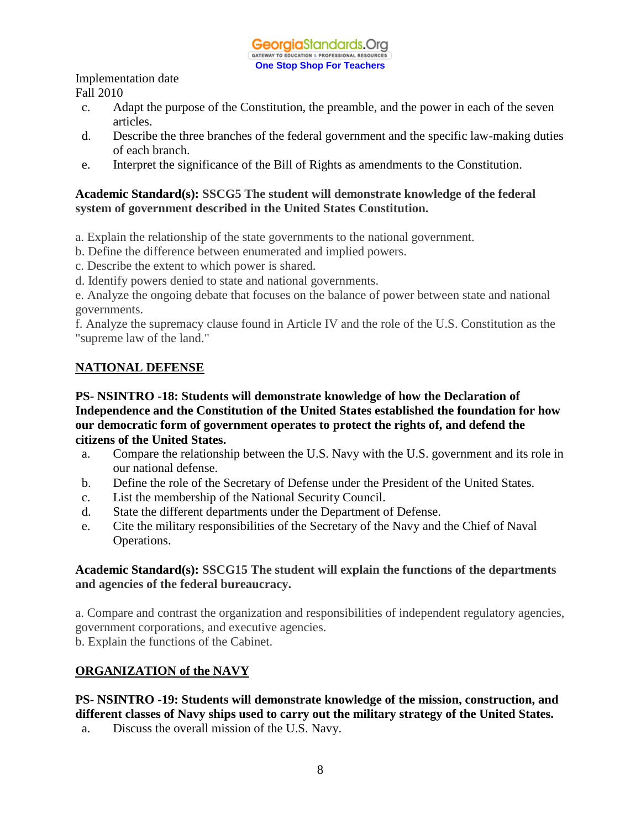- c. Adapt the purpose of the Constitution, the preamble, and the power in each of the seven articles.
- d. Describe the three branches of the federal government and the specific law-making duties of each branch.
- e. Interpret the significance of the Bill of Rights as amendments to the Constitution.

#### **Academic Standard(s): SSCG5 The student will demonstrate knowledge of the federal system of government described in the United States Constitution.**

- a. Explain the relationship of the state governments to the national government.
- b. Define the difference between enumerated and implied powers.
- c. Describe the extent to which power is shared.
- d. Identify powers denied to state and national governments.

e. Analyze the ongoing debate that focuses on the balance of power between state and national governments.

f. Analyze the supremacy clause found in Article IV and the role of the U.S. Constitution as the "supreme law of the land."

# **NATIONAL DEFENSE**

**PS- NSINTRO -18: Students will demonstrate knowledge of how the Declaration of Independence and the Constitution of the United States established the foundation for how our democratic form of government operates to protect the rights of, and defend the citizens of the United States.**

- a. Compare the relationship between the U.S. Navy with the U.S. government and its role in our national defense.
- b. Define the role of the Secretary of Defense under the President of the United States.
- c. List the membership of the National Security Council.
- d. State the different departments under the Department of Defense.
- e. Cite the military responsibilities of the Secretary of the Navy and the Chief of Naval Operations.

#### **Academic Standard(s): SSCG15 The student will explain the functions of the departments and agencies of the federal bureaucracy.**

a. Compare and contrast the organization and responsibilities of independent regulatory agencies, government corporations, and executive agencies.

b. Explain the functions of the Cabinet.

# **ORGANIZATION of the NAVY**

# **PS- NSINTRO -19: Students will demonstrate knowledge of the mission, construction, and different classes of Navy ships used to carry out the military strategy of the United States.**

a. Discuss the overall mission of the U.S. Navy.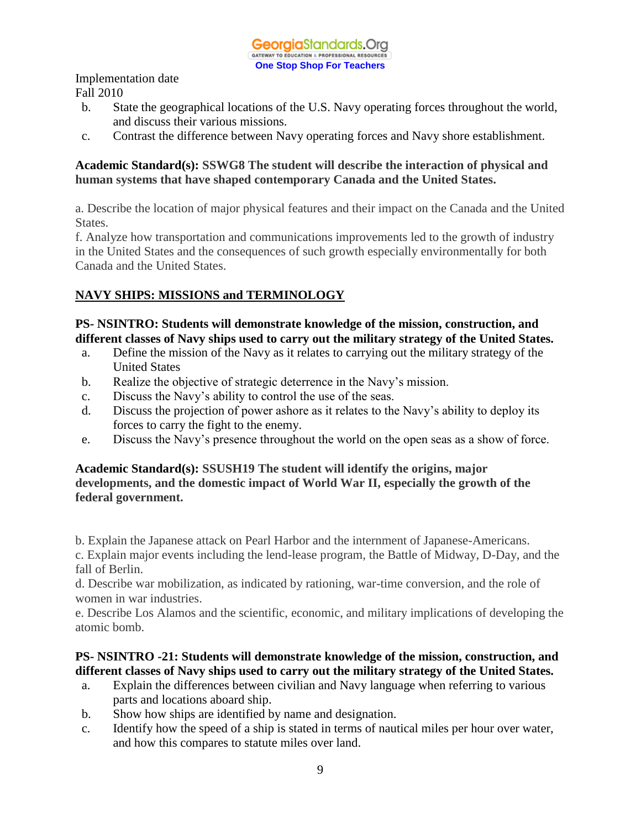- b. State the geographical locations of the U.S. Navy operating forces throughout the world, and discuss their various missions.
- c. Contrast the difference between Navy operating forces and Navy shore establishment.

#### **Academic Standard(s): SSWG8 The student will describe the interaction of physical and human systems that have shaped contemporary Canada and the United States.**

a. Describe the location of major physical features and their impact on the Canada and the United States.

f. Analyze how transportation and communications improvements led to the growth of industry in the United States and the consequences of such growth especially environmentally for both Canada and the United States.

# **NAVY SHIPS: MISSIONS and TERMINOLOGY**

#### **PS- NSINTRO: Students will demonstrate knowledge of the mission, construction, and different classes of Navy ships used to carry out the military strategy of the United States.**

- a. Define the mission of the Navy as it relates to carrying out the military strategy of the United States
- b. Realize the objective of strategic deterrence in the Navy's mission.
- c. Discuss the Navy's ability to control the use of the seas.
- d. Discuss the projection of power ashore as it relates to the Navy's ability to deploy its forces to carry the fight to the enemy.
- e. Discuss the Navy's presence throughout the world on the open seas as a show of force.

#### **Academic Standard(s): SSUSH19 The student will identify the origins, major developments, and the domestic impact of World War II, especially the growth of the federal government.**

b. Explain the Japanese attack on Pearl Harbor and the internment of Japanese-Americans.

c. Explain major events including the lend-lease program, the Battle of Midway, D-Day, and the fall of Berlin.

d. Describe war mobilization, as indicated by rationing, war-time conversion, and the role of women in war industries.

e. Describe Los Alamos and the scientific, economic, and military implications of developing the atomic bomb.

#### **PS- NSINTRO -21: Students will demonstrate knowledge of the mission, construction, and different classes of Navy ships used to carry out the military strategy of the United States.**

- a. Explain the differences between civilian and Navy language when referring to various parts and locations aboard ship.
- b. Show how ships are identified by name and designation.
- c. Identify how the speed of a ship is stated in terms of nautical miles per hour over water, and how this compares to statute miles over land.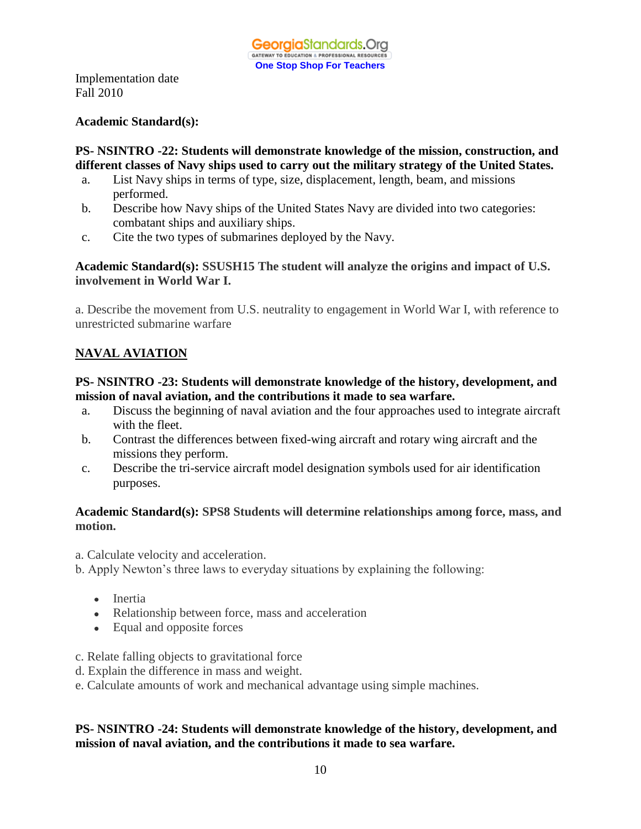#### **Academic Standard(s):**

#### **PS- NSINTRO -22: Students will demonstrate knowledge of the mission, construction, and different classes of Navy ships used to carry out the military strategy of the United States.**

- a. List Navy ships in terms of type, size, displacement, length, beam, and missions performed.
- b. Describe how Navy ships of the United States Navy are divided into two categories: combatant ships and auxiliary ships.
- c. Cite the two types of submarines deployed by the Navy.

#### **Academic Standard(s): SSUSH15 The student will analyze the origins and impact of U.S. involvement in World War I.**

a. Describe the movement from U.S. neutrality to engagement in World War I, with reference to unrestricted submarine warfare

# **NAVAL AVIATION**

#### **PS- NSINTRO -23: Students will demonstrate knowledge of the history, development, and mission of naval aviation, and the contributions it made to sea warfare.**

- a. Discuss the beginning of naval aviation and the four approaches used to integrate aircraft with the fleet.
- b. Contrast the differences between fixed-wing aircraft and rotary wing aircraft and the missions they perform.
- c. Describe the tri-service aircraft model designation symbols used for air identification purposes.

#### **Academic Standard(s): SPS8 Students will determine relationships among force, mass, and motion.**

a. Calculate velocity and acceleration.

b. Apply Newton's three laws to everyday situations by explaining the following:

- Inertia
- Relationship between force, mass and acceleration
- Equal and opposite forces
- c. Relate falling objects to gravitational force
- d. Explain the difference in mass and weight.
- e. Calculate amounts of work and mechanical advantage using simple machines.

#### **PS- NSINTRO -24: Students will demonstrate knowledge of the history, development, and mission of naval aviation, and the contributions it made to sea warfare.**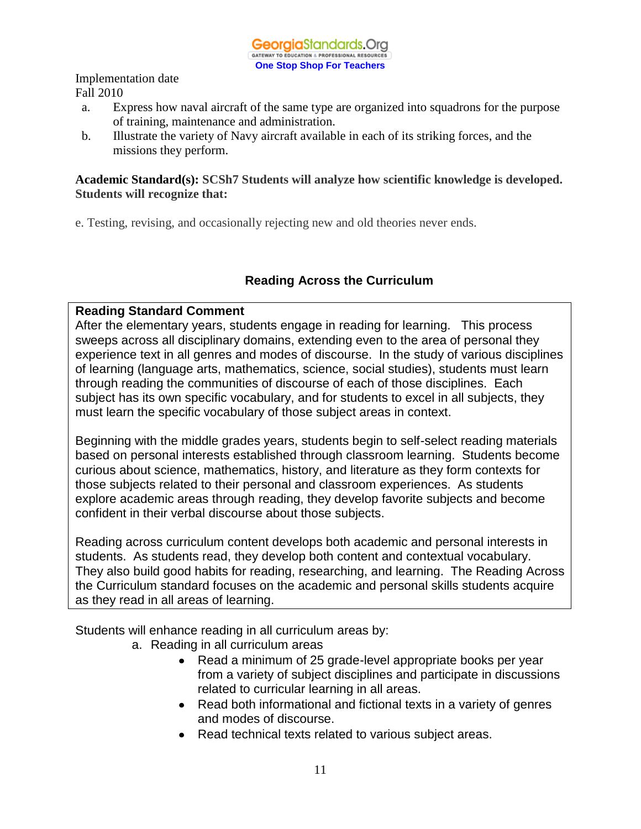- a. Express how naval aircraft of the same type are organized into squadrons for the purpose of training, maintenance and administration.
- b. Illustrate the variety of Navy aircraft available in each of its striking forces, and the missions they perform.

#### **Academic Standard(s): SCSh7 Students will analyze how scientific knowledge is developed. Students will recognize that:**

e. Testing, revising, and occasionally rejecting new and old theories never ends.

# **Reading Across the Curriculum**

## **Reading Standard Comment**

After the elementary years, students engage in reading for learning. This process sweeps across all disciplinary domains, extending even to the area of personal they experience text in all genres and modes of discourse. In the study of various disciplines of learning (language arts, mathematics, science, social studies), students must learn through reading the communities of discourse of each of those disciplines. Each subject has its own specific vocabulary, and for students to excel in all subjects, they must learn the specific vocabulary of those subject areas in context.

Beginning with the middle grades years, students begin to self-select reading materials based on personal interests established through classroom learning. Students become curious about science, mathematics, history, and literature as they form contexts for those subjects related to their personal and classroom experiences. As students explore academic areas through reading, they develop favorite subjects and become confident in their verbal discourse about those subjects.

Reading across curriculum content develops both academic and personal interests in students. As students read, they develop both content and contextual vocabulary. They also build good habits for reading, researching, and learning. The Reading Across the Curriculum standard focuses on the academic and personal skills students acquire as they read in all areas of learning.

Students will enhance reading in all curriculum areas by:

- a. Reading in all curriculum areas
	- Read a minimum of 25 grade-level appropriate books per year from a variety of subject disciplines and participate in discussions related to curricular learning in all areas.
	- Read both informational and fictional texts in a variety of genres and modes of discourse.
	- Read technical texts related to various subject areas.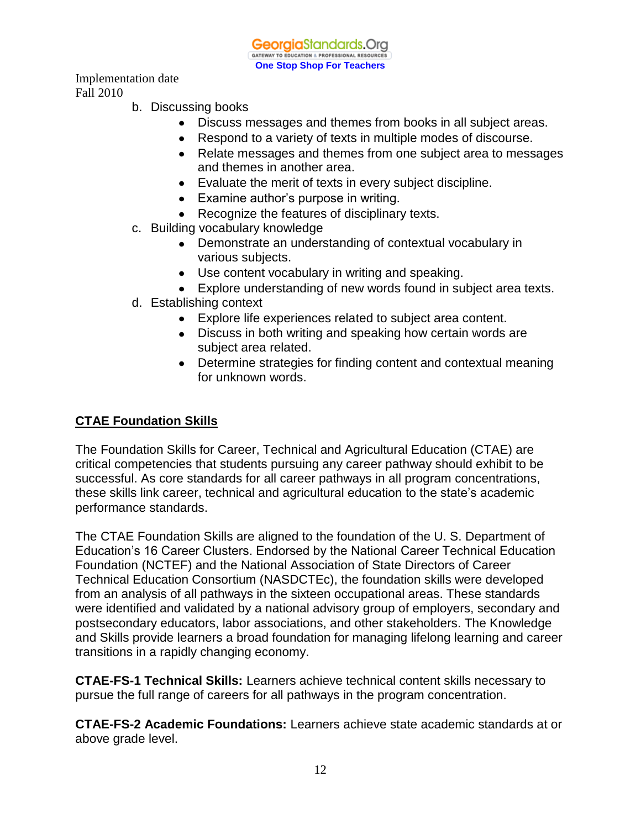GeorgiaStandards.Org GATEWAY TO EDUCATION & PROFESSIONAL RESOURCE **One Stop Shop For Teachers**

Implementation date Fall 2010

- b. Discussing books
	- Discuss messages and themes from books in all subject areas.
	- Respond to a variety of texts in multiple modes of discourse.
	- Relate messages and themes from one subject area to messages and themes in another area.
	- Evaluate the merit of texts in every subject discipline.
	- Examine author's purpose in writing.
	- Recognize the features of disciplinary texts.
- c. Building vocabulary knowledge
	- Demonstrate an understanding of contextual vocabulary in various subjects.
	- Use content vocabulary in writing and speaking.
	- Explore understanding of new words found in subject area texts.
- d. Establishing context
	- Explore life experiences related to subject area content.
	- Discuss in both writing and speaking how certain words are subject area related.
	- Determine strategies for finding content and contextual meaning for unknown words.

# **CTAE Foundation Skills**

The Foundation Skills for Career, Technical and Agricultural Education (CTAE) are critical competencies that students pursuing any career pathway should exhibit to be successful. As core standards for all career pathways in all program concentrations, these skills link career, technical and agricultural education to the state's academic performance standards.

The CTAE Foundation Skills are aligned to the foundation of the U. S. Department of Education's 16 Career Clusters. Endorsed by the National Career Technical Education Foundation (NCTEF) and the National Association of State Directors of Career Technical Education Consortium (NASDCTEc), the foundation skills were developed from an analysis of all pathways in the sixteen occupational areas. These standards were identified and validated by a national advisory group of employers, secondary and postsecondary educators, labor associations, and other stakeholders. The Knowledge and Skills provide learners a broad foundation for managing lifelong learning and career transitions in a rapidly changing economy.

**CTAE-FS-1 Technical Skills:** Learners achieve technical content skills necessary to pursue the full range of careers for all pathways in the program concentration.

**CTAE-FS-2 Academic Foundations:** Learners achieve state academic standards at or above grade level.